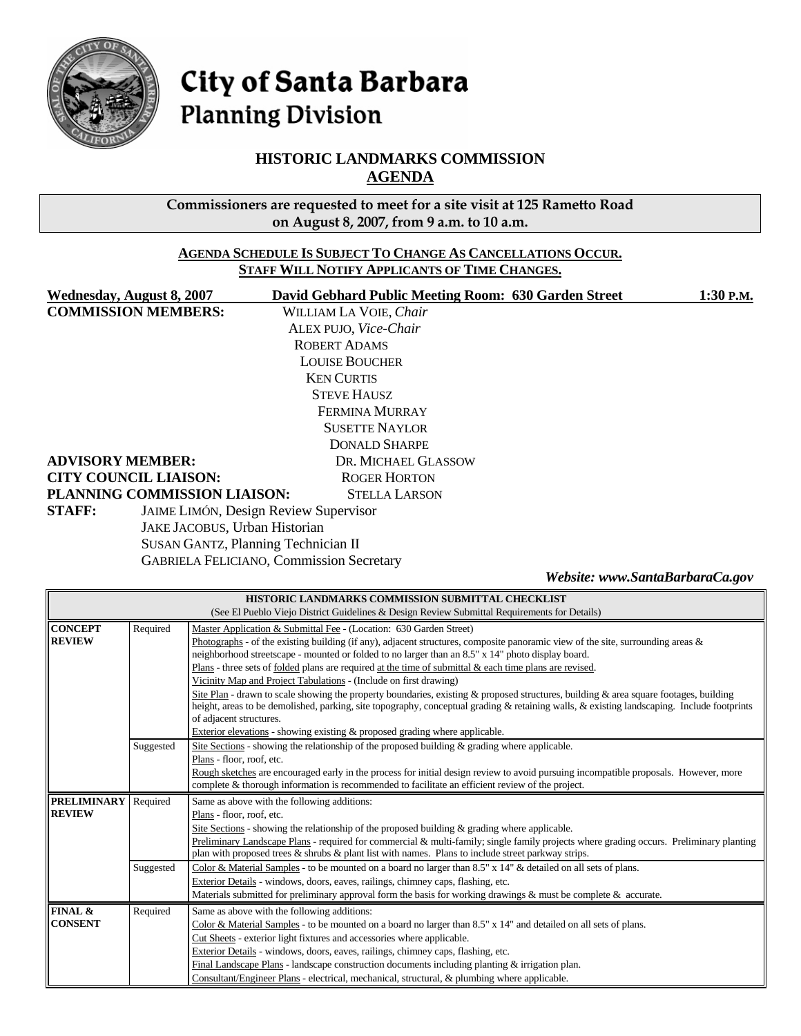

# City of Santa Barbara **Planning Division**

## **HISTORIC LANDMARKS COMMISSION AGENDA**

**Commissioners are requested to meet for a site visit at 125 Rametto Road on August 8, 2007, from 9 a.m. to 10 a.m.** 

#### **AGENDA SCHEDULE IS SUBJECT TO CHANGE AS CANCELLATIONS OCCUR. STAFF WILL NOTIFY APPLICANTS OF TIME CHANGES.**

| <b>Wednesday, August 8, 2007</b>                | David Gebhard Public Meeting Room: 630 Garden Street | 1:30 P.M.                       |  |  |
|-------------------------------------------------|------------------------------------------------------|---------------------------------|--|--|
| <b>COMMISSION MEMBERS:</b>                      | WILLIAM LA VOIE, Chair                               |                                 |  |  |
|                                                 | ALEX PUJO, Vice-Chair                                |                                 |  |  |
|                                                 | <b>ROBERT ADAMS</b>                                  |                                 |  |  |
|                                                 | <b>LOUISE BOUCHER</b>                                |                                 |  |  |
|                                                 |                                                      |                                 |  |  |
|                                                 | <b>STEVE HAUSZ</b>                                   |                                 |  |  |
| FERMINA MURRAY                                  |                                                      |                                 |  |  |
|                                                 |                                                      |                                 |  |  |
|                                                 | <b>DONALD SHARPE</b>                                 |                                 |  |  |
| <b>ADVISORY MEMBER:</b>                         | DR. MICHAEL GLASSOW                                  |                                 |  |  |
| <b>CITY COUNCIL LIAISON:</b>                    | <b>ROGER HORTON</b>                                  |                                 |  |  |
| PLANNING COMMISSION LIAISON:                    | <b>STELLA LARSON</b>                                 |                                 |  |  |
| <b>STAFF:</b>                                   | <b>JAIME LIMÓN, Design Review Supervisor</b>         |                                 |  |  |
| JAKE JACOBUS, Urban Historian                   |                                                      |                                 |  |  |
| <b>SUSAN GANTZ, Planning Technician II</b>      |                                                      |                                 |  |  |
| <b>GABRIELA FELICIANO, Commission Secretary</b> |                                                      |                                 |  |  |
|                                                 |                                                      | Website: www.SantaBarbaraCa.gov |  |  |

| HISTORIC LANDMARKS COMMISSION SUBMITTAL CHECKLIST                                            |           |                                                                                                                                            |  |  |  |
|----------------------------------------------------------------------------------------------|-----------|--------------------------------------------------------------------------------------------------------------------------------------------|--|--|--|
| (See El Pueblo Viejo District Guidelines & Design Review Submittal Requirements for Details) |           |                                                                                                                                            |  |  |  |
| <b>CONCEPT</b>                                                                               | Required  | Master Application & Submittal Fee - (Location: 630 Garden Street)                                                                         |  |  |  |
| <b>REVIEW</b>                                                                                |           | Photographs - of the existing building (if any), adjacent structures, composite panoramic view of the site, surrounding areas $\&$         |  |  |  |
|                                                                                              |           | neighborhood streetscape - mounted or folded to no larger than an 8.5" x 14" photo display board.                                          |  |  |  |
|                                                                                              |           | $Plans$ - three sets of <u>folded</u> plans are required at the time of submittal $\&$ each time plans are revised.                        |  |  |  |
|                                                                                              |           | Vicinity Map and Project Tabulations - (Include on first drawing)                                                                          |  |  |  |
|                                                                                              |           | Site Plan - drawn to scale showing the property boundaries, existing & proposed structures, building & area square footages, building      |  |  |  |
|                                                                                              |           | height, areas to be demolished, parking, site topography, conceptual grading & retaining walls, & existing landscaping. Include footprints |  |  |  |
|                                                                                              |           | of adjacent structures.                                                                                                                    |  |  |  |
|                                                                                              |           | Exterior elevations - showing existing $\&$ proposed grading where applicable.                                                             |  |  |  |
|                                                                                              | Suggested | Site Sections - showing the relationship of the proposed building $\&$ grading where applicable.                                           |  |  |  |
|                                                                                              |           | Plans - floor, roof, etc.                                                                                                                  |  |  |  |
|                                                                                              |           | Rough sketches are encouraged early in the process for initial design review to avoid pursuing incompatible proposals. However, more       |  |  |  |
|                                                                                              |           | complete & thorough information is recommended to facilitate an efficient review of the project.                                           |  |  |  |
| <b>PRELIMINARY</b> Required                                                                  |           | Same as above with the following additions:                                                                                                |  |  |  |
| <b>REVIEW</b>                                                                                |           | Plans - floor, roof, etc.                                                                                                                  |  |  |  |
|                                                                                              |           | Site Sections - showing the relationship of the proposed building $\&$ grading where applicable.                                           |  |  |  |
|                                                                                              |           |                                                                                                                                            |  |  |  |
|                                                                                              |           | Preliminary Landscape Plans - required for commercial & multi-family; single family projects where grading occurs. Preliminary planting    |  |  |  |
|                                                                                              |           | plan with proposed trees $\&$ shrubs $\&$ plant list with names. Plans to include street parkway strips.                                   |  |  |  |
|                                                                                              | Suggested | Color & Material Samples - to be mounted on a board no larger than 8.5" x 14" & detailed on all sets of plans.                             |  |  |  |
|                                                                                              |           | Exterior Details - windows, doors, eaves, railings, chimney caps, flashing, etc.                                                           |  |  |  |
|                                                                                              |           | Materials submitted for preliminary approval form the basis for working drawings & must be complete & accurate.                            |  |  |  |
| FINAL &                                                                                      | Required  | Same as above with the following additions:                                                                                                |  |  |  |
| <b>CONSENT</b>                                                                               |           | Color & Material Samples - to be mounted on a board no larger than $8.5" \times 14"$ and detailed on all sets of plans.                    |  |  |  |
|                                                                                              |           | Cut Sheets - exterior light fixtures and accessories where applicable.                                                                     |  |  |  |
|                                                                                              |           | Exterior Details - windows, doors, eaves, railings, chimney caps, flashing, etc.                                                           |  |  |  |
|                                                                                              |           | Final Landscape Plans - landscape construction documents including planting $&$ irrigation plan.                                           |  |  |  |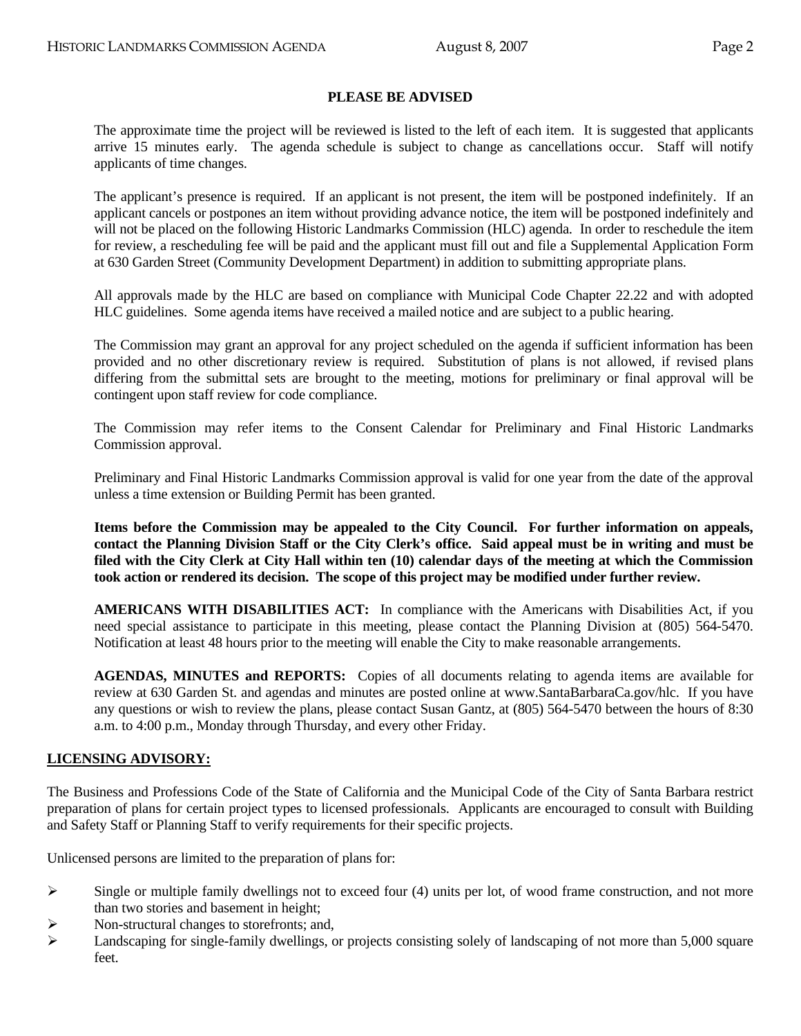## **PLEASE BE ADVISED**

 The approximate time the project will be reviewed is listed to the left of each item. It is suggested that applicants arrive 15 minutes early. The agenda schedule is subject to change as cancellations occur. Staff will notify applicants of time changes.

 The applicant's presence is required. If an applicant is not present, the item will be postponed indefinitely. If an applicant cancels or postpones an item without providing advance notice, the item will be postponed indefinitely and will not be placed on the following Historic Landmarks Commission (HLC) agenda. In order to reschedule the item for review, a rescheduling fee will be paid and the applicant must fill out and file a Supplemental Application Form at 630 Garden Street (Community Development Department) in addition to submitting appropriate plans.

 All approvals made by the HLC are based on compliance with Municipal Code Chapter 22.22 and with adopted HLC guidelines. Some agenda items have received a mailed notice and are subject to a public hearing.

 The Commission may grant an approval for any project scheduled on the agenda if sufficient information has been provided and no other discretionary review is required. Substitution of plans is not allowed, if revised plans differing from the submittal sets are brought to the meeting, motions for preliminary or final approval will be contingent upon staff review for code compliance.

 The Commission may refer items to the Consent Calendar for Preliminary and Final Historic Landmarks Commission approval.

 Preliminary and Final Historic Landmarks Commission approval is valid for one year from the date of the approval unless a time extension or Building Permit has been granted.

**Items before the Commission may be appealed to the City Council. For further information on appeals, contact the Planning Division Staff or the City Clerk's office. Said appeal must be in writing and must be filed with the City Clerk at City Hall within ten (10) calendar days of the meeting at which the Commission took action or rendered its decision. The scope of this project may be modified under further review.** 

 **AMERICANS WITH DISABILITIES ACT:** In compliance with the Americans with Disabilities Act, if you need special assistance to participate in this meeting, please contact the Planning Division at (805) 564-5470. Notification at least 48 hours prior to the meeting will enable the City to make reasonable arrangements.

 **AGENDAS, MINUTES and REPORTS:** Copies of all documents relating to agenda items are available for review at 630 Garden St. and agendas and minutes are posted online at www.SantaBarbaraCa.gov/hlc. If you have any questions or wish to review the plans, please contact Susan Gantz, at (805) 564-5470 between the hours of 8:30 a.m. to 4:00 p.m., Monday through Thursday, and every other Friday.

#### **LICENSING ADVISORY:**

The Business and Professions Code of the State of California and the Municipal Code of the City of Santa Barbara restrict preparation of plans for certain project types to licensed professionals. Applicants are encouraged to consult with Building and Safety Staff or Planning Staff to verify requirements for their specific projects.

Unlicensed persons are limited to the preparation of plans for:

- $\triangleright$  Single or multiple family dwellings not to exceed four (4) units per lot, of wood frame construction, and not more than two stories and basement in height;
- $\triangleright$  Non-structural changes to storefronts; and,
- $\blacktriangleright$  Landscaping for single-family dwellings, or projects consisting solely of landscaping of not more than 5,000 square feet.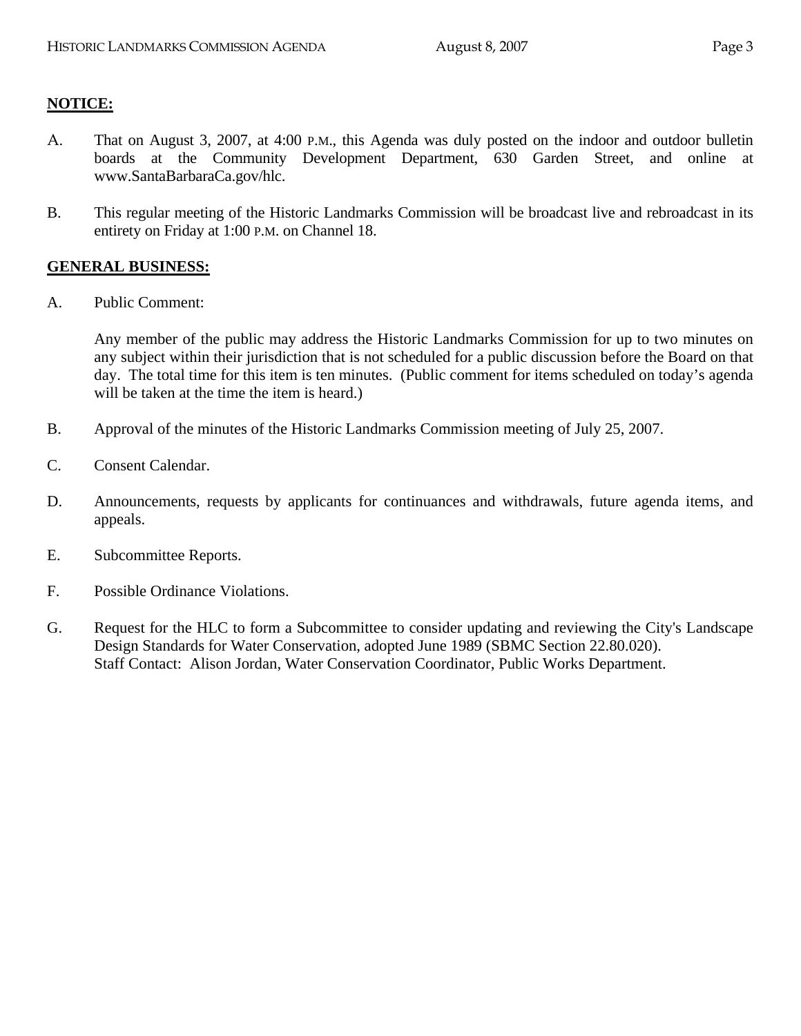## **NOTICE:**

- A. That on August 3, 2007, at 4:00 P.M., this Agenda was duly posted on the indoor and outdoor bulletin boards at the Community Development Department, 630 Garden Street, and online at www.SantaBarbaraCa.gov/hlc.
- B. This regular meeting of the Historic Landmarks Commission will be broadcast live and rebroadcast in its entirety on Friday at 1:00 P.M. on Channel 18.

## **GENERAL BUSINESS:**

A. Public Comment:

Any member of the public may address the Historic Landmarks Commission for up to two minutes on any subject within their jurisdiction that is not scheduled for a public discussion before the Board on that day. The total time for this item is ten minutes. (Public comment for items scheduled on today's agenda will be taken at the time the item is heard.)

- B. Approval of the minutes of the Historic Landmarks Commission meeting of July 25, 2007.
- C. Consent Calendar.
- D. Announcements, requests by applicants for continuances and withdrawals, future agenda items, and appeals.
- E. Subcommittee Reports.
- F. Possible Ordinance Violations.
- G. Request for the HLC to form a Subcommittee to consider updating and reviewing the City's Landscape Design Standards for Water Conservation, adopted June 1989 (SBMC Section 22.80.020). Staff Contact: Alison Jordan, Water Conservation Coordinator, Public Works Department.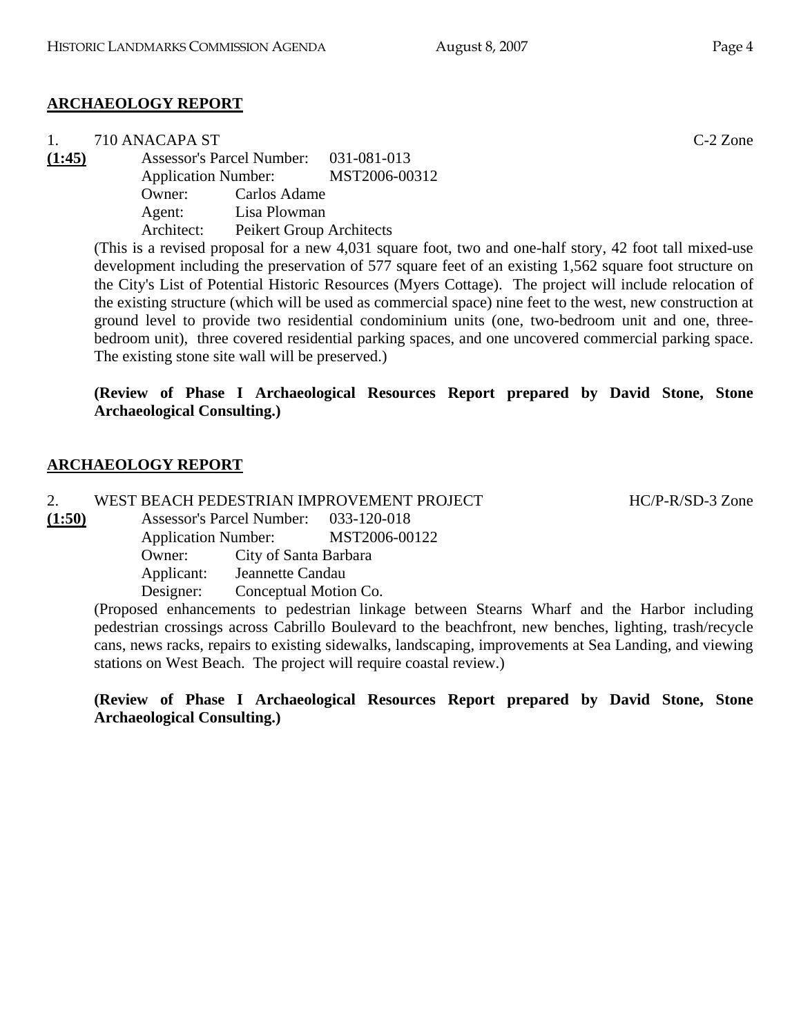## **ARCHAEOLOGY REPORT**

1. 710 ANACAPA ST C-2 Zone **(1:45)** Assessor's Parcel Number: 031-081-013 Application Number: MST2006-00312 Owner: Carlos Adame Agent: Lisa Plowman Architect: Peikert Group Architects

(This is a revised proposal for a new 4,031 square foot, two and one-half story, 42 foot tall mixed-use development including the preservation of 577 square feet of an existing 1,562 square foot structure on the City's List of Potential Historic Resources (Myers Cottage). The project will include relocation of the existing structure (which will be used as commercial space) nine feet to the west, new construction at ground level to provide two residential condominium units (one, two-bedroom unit and one, threebedroom unit), three covered residential parking spaces, and one uncovered commercial parking space. The existing stone site wall will be preserved.)

## **(Review of Phase I Archaeological Resources Report prepared by David Stone, Stone Archaeological Consulting.)**

## **ARCHAEOLOGY REPORT**

2. WEST BEACH PEDESTRIAN IMPROVEMENT PROJECT HOME HC/P-R/SD-3 Zone

**(1:50)** Assessor's Parcel Number: 033-120-018 Application Number: MST2006-00122 Owner: City of Santa Barbara Applicant: Jeannette Candau Designer: Conceptual Motion Co.

> (Proposed enhancements to pedestrian linkage between Stearns Wharf and the Harbor including pedestrian crossings across Cabrillo Boulevard to the beachfront, new benches, lighting, trash/recycle cans, news racks, repairs to existing sidewalks, landscaping, improvements at Sea Landing, and viewing stations on West Beach. The project will require coastal review.)

> **(Review of Phase I Archaeological Resources Report prepared by David Stone, Stone Archaeological Consulting.)**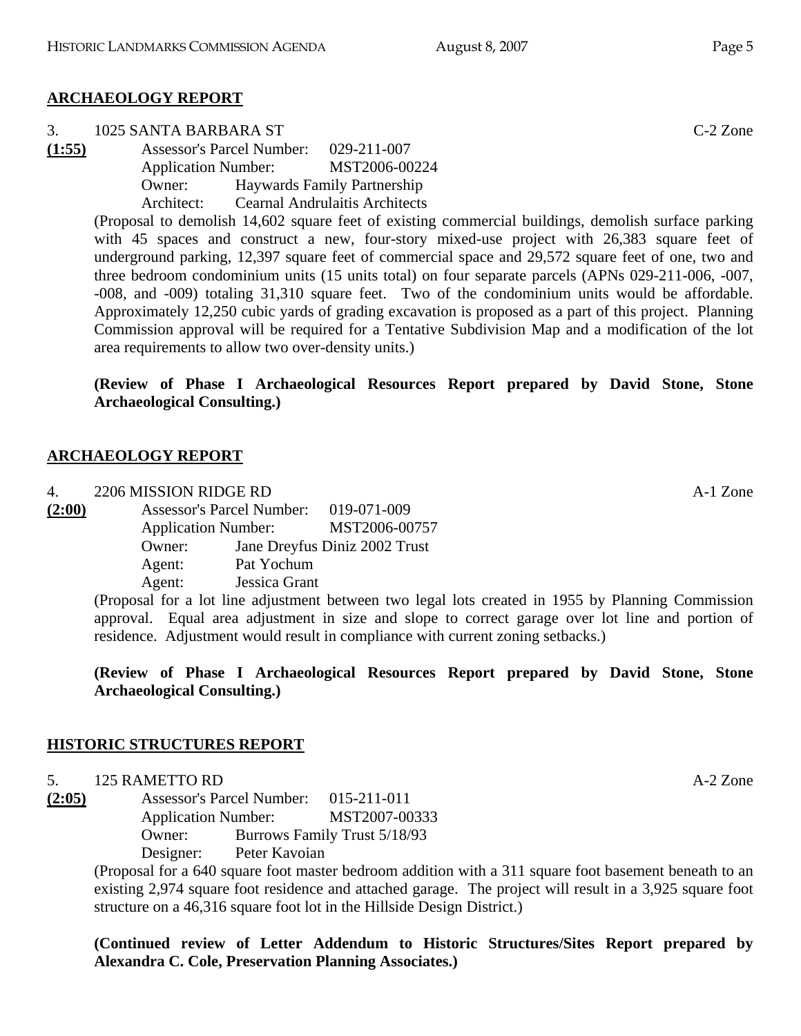#### **ARCHAEOLOGY REPORT**

- 3. 1025 SANTA BARBARA ST C-2 Zone
- **(1:55)** Assessor's Parcel Number: 029-211-007 Application Number: MST2006-00224 Owner: Haywards Family Partnership Architect: Cearnal Andrulaitis Architects

(Proposal to demolish 14,602 square feet of existing commercial buildings, demolish surface parking with 45 spaces and construct a new, four-story mixed-use project with 26,383 square feet of underground parking, 12,397 square feet of commercial space and 29,572 square feet of one, two and three bedroom condominium units (15 units total) on four separate parcels (APNs 029-211-006, -007, -008, and -009) totaling 31,310 square feet. Two of the condominium units would be affordable. Approximately 12,250 cubic yards of grading excavation is proposed as a part of this project. Planning Commission approval will be required for a Tentative Subdivision Map and a modification of the lot area requirements to allow two over-density units.)

## **(Review of Phase I Archaeological Resources Report prepared by David Stone, Stone Archaeological Consulting.)**

#### **ARCHAEOLOGY REPORT**

4. 2206 MISSION RIDGE RD A-1 Zone **(2:00)** Assessor's Parcel Number: 019-071-009 Application Number: MST2006-00757 Owner: Jane Dreyfus Diniz 2002 Trust

 Agent: Pat Yochum Agent: Jessica Grant (Proposal for a lot line adjustment between two legal lots created in 1955 by Planning Commission approval. Equal area adjustment in size and slope to correct garage over lot line and portion of residence. Adjustment would result in compliance with current zoning setbacks.)

**(Review of Phase I Archaeological Resources Report prepared by David Stone, Stone Archaeological Consulting.)** 

## **HISTORIC STRUCTURES REPORT**

## 5. 125 RAMETTO RD A-2 Zone

**(2:05)** Assessor's Parcel Number: 015-211-011 Application Number: MST2007-00333 Owner: Burrows Family Trust 5/18/93 Designer: Peter Kavoian

> (Proposal for a 640 square foot master bedroom addition with a 311 square foot basement beneath to an existing 2,974 square foot residence and attached garage. The project will result in a 3,925 square foot structure on a 46,316 square foot lot in the Hillside Design District.)

> **(Continued review of Letter Addendum to Historic Structures/Sites Report prepared by Alexandra C. Cole, Preservation Planning Associates.)**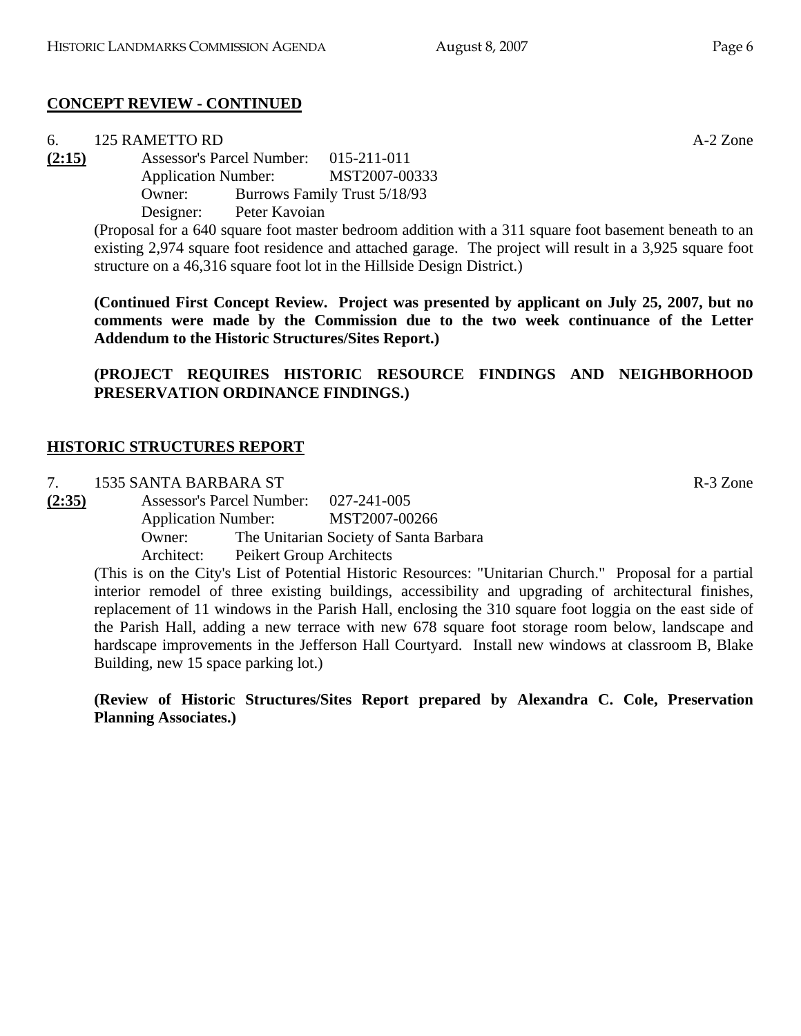## **CONCEPT REVIEW - CONTINUED**

| 6.     | 125 RAMETTO RD                                                             |               |                                     | $A-2$ Zone |
|--------|----------------------------------------------------------------------------|---------------|-------------------------------------|------------|
| (2:15) | Assessor's Parcel Number: 015-211-011<br>Application Number: MST2007-00333 |               |                                     |            |
|        |                                                                            |               |                                     |            |
|        | Owner:                                                                     |               | <b>Burrows Family Trust 5/18/93</b> |            |
|        | Designer:                                                                  | Peter Kavoian |                                     |            |

(Proposal for a 640 square foot master bedroom addition with a 311 square foot basement beneath to an existing 2,974 square foot residence and attached garage. The project will result in a 3,925 square foot structure on a 46,316 square foot lot in the Hillside Design District.)

**(Continued First Concept Review. Project was presented by applicant on July 25, 2007, but no comments were made by the Commission due to the two week continuance of the Letter Addendum to the Historic Structures/Sites Report.)** 

**(PROJECT REQUIRES HISTORIC RESOURCE FINDINGS AND NEIGHBORHOOD PRESERVATION ORDINANCE FINDINGS.)** 

# **HISTORIC STRUCTURES REPORT**

7. 1535 SANTA BARBARA ST R-3 Zone

**(2:35)** Assessor's Parcel Number: 027-241-005 Application Number: MST2007-00266 Owner: The Unitarian Society of Santa Barbara Architect: Peikert Group Architects

(This is on the City's List of Potential Historic Resources: "Unitarian Church." Proposal for a partial interior remodel of three existing buildings, accessibility and upgrading of architectural finishes, replacement of 11 windows in the Parish Hall, enclosing the 310 square foot loggia on the east side of the Parish Hall, adding a new terrace with new 678 square foot storage room below, landscape and hardscape improvements in the Jefferson Hall Courtyard. Install new windows at classroom B, Blake Building, new 15 space parking lot.)

**(Review of Historic Structures/Sites Report prepared by Alexandra C. Cole, Preservation Planning Associates.)**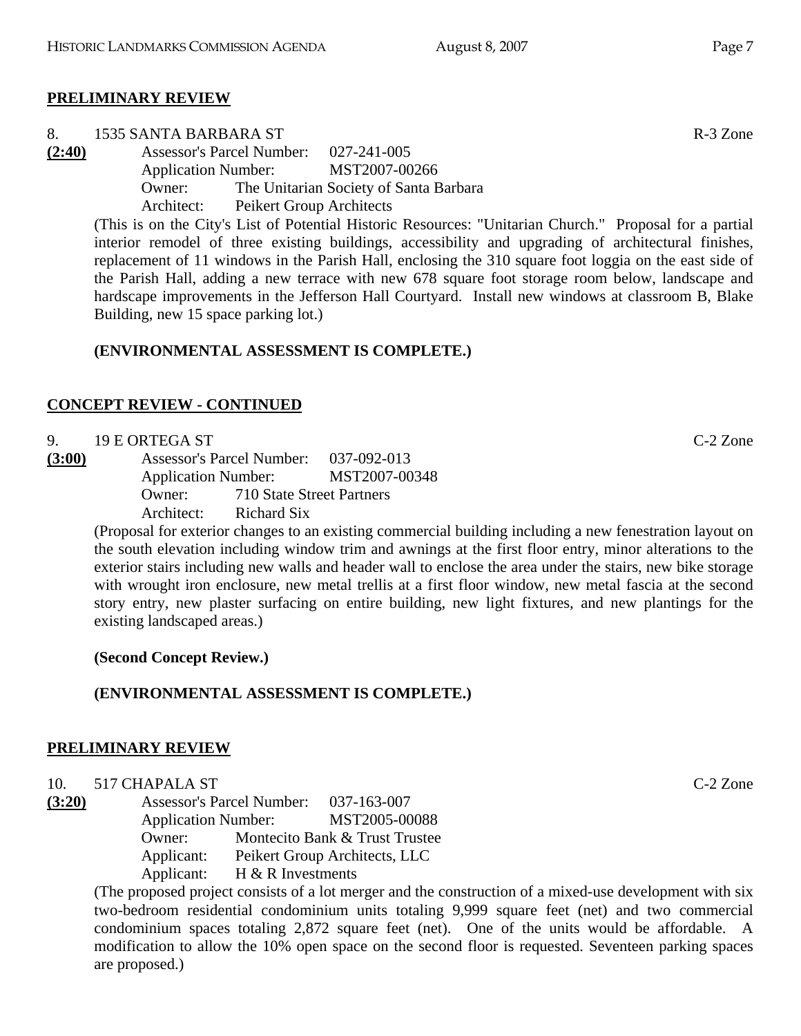# **PRELIMINARY REVIEW**

- 8. 1535 SANTA BARBARA ST R-3 Zone
- **(2:40)** Assessor's Parcel Number: 027-241-005 Application Number: MST2007-00266 Owner: The Unitarian Society of Santa Barbara Architect: Peikert Group Architects

(This is on the City's List of Potential Historic Resources: "Unitarian Church." Proposal for a partial interior remodel of three existing buildings, accessibility and upgrading of architectural finishes, replacement of 11 windows in the Parish Hall, enclosing the 310 square foot loggia on the east side of the Parish Hall, adding a new terrace with new 678 square foot storage room below, landscape and hardscape improvements in the Jefferson Hall Courtyard. Install new windows at classroom B, Blake Building, new 15 space parking lot.)

# **(ENVIRONMENTAL ASSESSMENT IS COMPLETE.)**

# **CONCEPT REVIEW - CONTINUED**

9. 19 E ORTEGA ST C-2 Zone

**(3:00)** Assessor's Parcel Number: 037-092-013 Application Number: MST2007-00348 Owner: 710 State Street Partners Architect: Richard Six

(Proposal for exterior changes to an existing commercial building including a new fenestration layout on the south elevation including window trim and awnings at the first floor entry, minor alterations to the exterior stairs including new walls and header wall to enclose the area under the stairs, new bike storage with wrought iron enclosure, new metal trellis at a first floor window, new metal fascia at the second story entry, new plaster surfacing on entire building, new light fixtures, and new plantings for the existing landscaped areas.)

**(Second Concept Review.)** 

# **(ENVIRONMENTAL ASSESSMENT IS COMPLETE.)**

# **PRELIMINARY REVIEW**

# 10. 517 CHAPALA ST C-2 Zone

**(3:20)** Assessor's Parcel Number: 037-163-007 Application Number: MST2005-00088 Owner: Montecito Bank & Trust Trustee Applicant: Peikert Group Architects, LLC Applicant: H & R Investments

(The proposed project consists of a lot merger and the construction of a mixed-use development with six two-bedroom residential condominium units totaling 9,999 square feet (net) and two commercial condominium spaces totaling 2,872 square feet (net). One of the units would be affordable. A modification to allow the 10% open space on the second floor is requested. Seventeen parking spaces are proposed.)